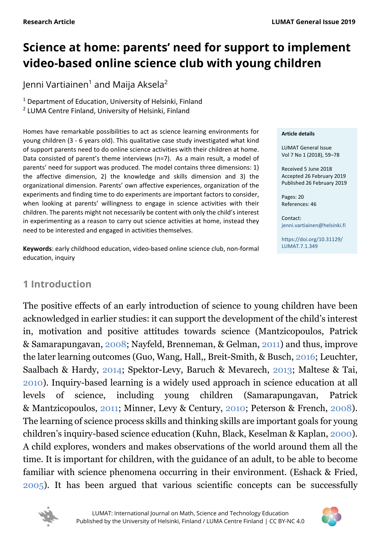# **Science at home: parents' need for support to implement video-based online science club with young children**

Jenni Vartiainen<sup>1</sup> and Maija Aksela<sup>2</sup>

<sup>1</sup> Department of Education, University of Helsinki, Finland <sup>2</sup> LUMA Centre Finland, University of Helsinki, Finland

Homes have remarkable possibilities to act as science learning environments for young children (3 - 6 years old). This qualitative case study investigated what kind of support parents need to do online science activities with their children at home. Data consisted of parent's theme interviews (n=7). As a main result, a model of parents' need for support was produced. The model contains three dimensions: 1) the affective dimension, 2) the knowledge and skills dimension and 3) the organizational dimension. Parents' own affective experiences, organization of the experiments and finding time to do experiments are important factors to consider, when looking at parents' willingness to engage in science activities with their children. The parents might not necessarily be content with only the child's interest in experimenting as a reason to carry out science activities at home, instead they need to be interested and engaged in activities themselves.

**Keywords**: early childhood education, video-based online science club, non-formal education, inquiry

#### **Article details**

LUMAT General Issue Vol 7 No 1 (2018), 59–78

Received 5 June 2018 Accepted 26 February 2019 Published 26 February 2019

Pages: 20 References: 46

Contact: [jenni.vartiainen@helsinki.fi](mailto:jenni.vartiainen@helsinki.fi)

[https://doi.org/10.31129/](https://doi.org/10.31129/LUMAT.7.1.349)  [LUMAT.7.1.349](https://doi.org/10.31129/LUMAT.7.1.349)

# <span id="page-0-0"></span>**1 Introduction**

The positive effects of an early introduction of science to young children have been acknowledged in earlier studies: it can support the development of the child's interest in, motivation and positive attitudes towards science (Mantzicopoulos, Patrick & Samarapungavan, [2008;](#page-17-0) Nayfeld, Brenneman, & Gelman, [2011\)](#page-17-0) and thus, improve the later learning outcomes (Guo, Wang, Hall,, Breit-Smith, & Busch, [2016;](#page-17-0) Leuchter, Saalbach & Hardy, [2014;](#page-17-0) Spektor-Levy, Baruch & Mevarech, [2013;](#page-17-0) Maltese & Tai, [2010\)](#page-17-0). Inquiry-based learning is a widely used approach in science education at all levels of science, including young children (Samarapungavan, Patrick & Mantzicopoulos, [2011;](#page-17-0) Minner, Levy & Century, [2010;](#page-17-0) Peterson & French, [2008\)](#page-17-0). The learning of science process skills and thinking skills are important goals for young children's inquiry-based science education (Kuhn, Black, Keselman & Kaplan, [2000\)](#page-17-0). A child explores, wonders and makes observations of the world around them all the time. It is important for children, with the guidance of an adult, to be able to become familiar with science phenomena occurring in their environment. (Eshack & Fried, [2005\)](#page-17-0). It has been argued that various scientific concepts can be successfully



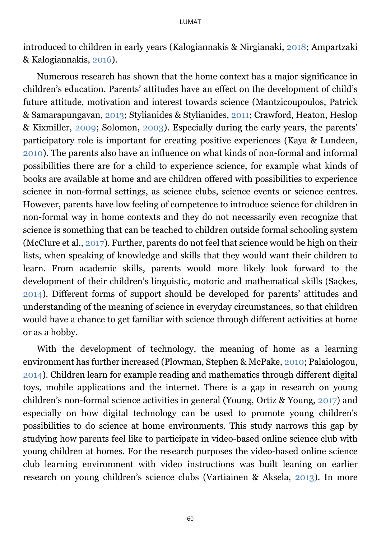introduced to children in early years (Kalogiannakis & Nirgianaki, [2018;](#page-17-0) Ampartzaki & Kalogiannakis, [2016\)](#page-17-0).

Numerous research has shown that the home context has a major significance in children's education. Parents' attitudes have an effect on the development of child's future attitude, motivation and interest towards science (Mantzicoupoulos, Patrick & Samarapungavan, [2013;](#page-17-0) Stylianides & Stylianides, [2011;](#page-17-0) Crawford, Heaton, Heslop & Kixmiller, [2009;](#page-17-0) Solomon, [2003\)](#page-17-0). Especially during the early years, the parents' participatory role is important for creating positive experiences (Kaya & Lundeen, [2010\)](#page-17-0). The parents also have an influence on what kinds of non-formal and informal possibilities there are for a child to experience science, for example what kinds of books are available at home and are children offered with possibilities to experience science in non-formal settings, as science clubs, science events or science centres. However, parents have low feeling of competence to introduce science for children in non-formal way in home contexts and they do not necessarily even recognize that science is something that can be teached to children outside formal schooling system (McClure et al., [2017\)](#page-17-0). Further, parents do not feel that science would be high on their lists, when speaking of knowledge and skills that they would want their children to learn. From academic skills, parents would more likely look forward to the development of their children's linguistic, motoric and mathematical skills (Saçkes, [2014\)](#page-17-0). Different forms of support should be developed for parents' attitudes and understanding of the meaning of science in everyday circumstances, so that children would have a chance to get familiar with science through different activities at home or as a hobby.

With the development of technology, the meaning of home as a learning environment has further increased (Plowman, Stephen & McPake, [2010;](#page-17-0) Palaiologou, [2014\)](#page-17-0). Children learn for example reading and mathematics through different digital toys, mobile applications and the internet. There is a gap in research on young children's non-formal science activities in general (Young, Ortiz & Young, [2017\)](#page-17-0) and especially on how digital technology can be used to promote young children's possibilities to do science at home environments. This study narrows this gap by studying how parents feel like to participate in video-based online science club with young children at homes. For the research purposes the video-based online science club learning environment with video instructions was built leaning on earlier research on young children's science clubs (Vartiainen & Aksela, [2013\)](#page-17-0). In more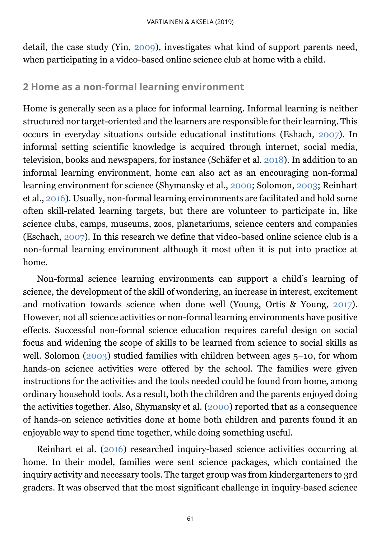detail, the case study (Yin, [2009\)](#page-17-0), investigates what kind of support parents need, when participating in a video-based online science club at home with a child.

## <span id="page-2-0"></span>**2 Home as a non-formal learning environment**

Home is generally seen as a place for informal learning. Informal learning is neither structured nor target-oriented and the learners are responsible for their learning. This occurs in everyday situations outside educational institutions (Eshach, [2007\)](#page-17-0). In informal setting scientific knowledge is acquired through internet, social media, television, books and newspapers, for instance (Schäfer et al. [2018\)](#page-17-0). In addition to an informal learning environment, home can also act as an encouraging non-formal learning environment for science (Shymansky et al., [2000;](#page-17-0) Solomon, [2003;](#page-17-0) Reinhart et al., [2016\)](#page-17-0). Usually, non-formal learning environments are facilitated and hold some often skill-related learning targets, but there are volunteer to participate in, like science clubs, camps, museums, zoos, planetariums, science centers and companies (Eschach, [2007\)](#page-17-0). In this research we define that video-based online science club is a non-formal learning environment although it most often it is put into practice at home.

Non-formal science learning environments can support a child's learning of science, the development of the skill of wondering, an increase in interest, excitement and motivation towards science when done well (Young, Ortis & Young, [2017\)](#page-17-0). However, not all science activities or non-formal learning environments have positive effects. Successful non-formal science education requires careful design on social focus and widening the scope of skills to be learned from science to social skills as well. Solomon [\(2003\)](#page-17-0) studied families with children between ages 5–10, for whom hands-on science activities were offered by the school. The families were given instructions for the activities and the tools needed could be found from home, among ordinary household tools. As a result, both the children and the parents enjoyed doing the activities together. Also, Shymansky et al. [\(2000\)](#page-17-0) reported that as a consequence of hands-on science activities done at home both children and parents found it an enjoyable way to spend time together, while doing something useful.

Reinhart et al. [\(2016\)](#page-17-0) researched inquiry-based science activities occurring at home. In their model, families were sent science packages, which contained the inquiry activity and necessary tools. The target group was from kindergarteners to 3rd graders. It was observed that the most significant challenge in inquiry-based science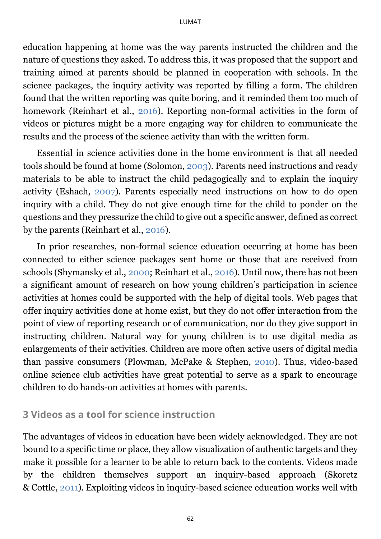education happening at home was the way parents instructed the children and the nature of questions they asked. To address this, it was proposed that the support and training aimed at parents should be planned in cooperation with schools. In the science packages, the inquiry activity was reported by filling a form. The children found that the written reporting was quite boring, and it reminded them too much of homework (Reinhart et al., [2016\)](#page-17-0). Reporting non-formal activities in the form of videos or pictures might be a more engaging way for children to communicate the results and the process of the science activity than with the written form.

Essential in science activities done in the home environment is that all needed tools should be found at home (Solomon, [2003\)](#page-17-0). Parents need instructions and ready materials to be able to instruct the child pedagogically and to explain the inquiry activity (Eshach, [2007\)](#page-17-0). Parents especially need instructions on how to do open inquiry with a child. They do not give enough time for the child to ponder on the questions and they pressurize the child to give out a specific answer, defined as correct by the parents (Reinhart et al., [2016\)](#page-17-0).

In prior researches, non-formal science education occurring at home has been connected to either science packages sent home or those that are received from schools (Shymansky et al., [2000;](#page-17-0) Reinhart et al., [2016\)](#page-17-0). Until now, there has not been a significant amount of research on how young children's participation in science activities at homes could be supported with the help of digital tools. Web pages that offer inquiry activities done at home exist, but they do not offer interaction from the point of view of reporting research or of communication, nor do they give support in instructing children. Natural way for young children is to use digital media as enlargements of their activities. Children are more often active users of digital media than passive consumers (Plowman, McPake & Stephen, [2010\)](#page-17-0). Thus, video-based online science club activities have great potential to serve as a spark to encourage children to do hands-on activities at homes with parents.

#### <span id="page-3-0"></span>**3 Videos as a tool for science instruction**

The advantages of videos in education have been widely acknowledged. They are not bound to a specific time or place, they allow visualization of authentic targets and they make it possible for a learner to be able to return back to the contents. Videos made by the children themselves support an inquiry-based approach (Skoretz & Cottle, [2011\)](#page-17-0). Exploiting videos in inquiry-based science education works well with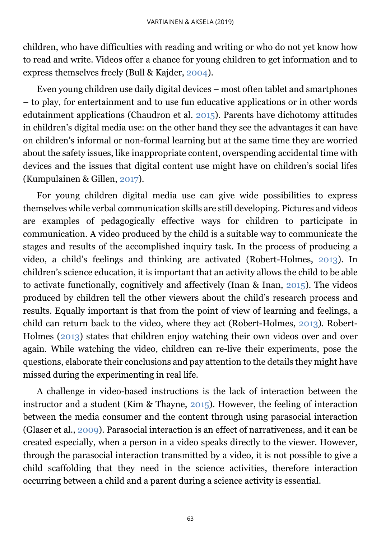children, who have difficulties with reading and writing or who do not yet know how to read and write. Videos offer a chance for young children to get information and to express themselves freely (Bull & Kajder, [2004\)](#page-17-0).

Even young children use daily digital devices – most often tablet and smartphones – to play, for entertainment and to use fun educative applications or in other words edutainment applications (Chaudron et al. [2015\)](#page-17-0). Parents have dichotomy attitudes in children's digital media use: on the other hand they see the advantages it can have on children's informal or non-formal learning but at the same time they are worried about the safety issues, like inappropriate content, overspending accidental time with devices and the issues that digital content use might have on children's social lifes (Kumpulainen & Gillen, [2017\)](#page-17-0).

For young children digital media use can give wide possibilities to express themselves while verbal communication skills are still developing. Pictures and videos are examples of pedagogically effective ways for children to participate in communication. A video produced by the child is a suitable way to communicate the stages and results of the accomplished inquiry task. In the process of producing a video, a child's feelings and thinking are activated (Robert-Holmes, [2013\)](#page-17-0). In children's science education, it is important that an activity allows the child to be able to activate functionally, cognitively and affectively (Inan & Inan, [2015\)](#page-17-0). The videos produced by children tell the other viewers about the child's research process and results. Equally important is that from the point of view of learning and feelings, a child can return back to the video, where they act (Robert-Holmes, [2013\)](#page-17-0). Robert-Holmes [\(2013\)](#page-17-0) states that children enjoy watching their own videos over and over again. While watching the video, children can re-live their experiments, pose the questions, elaborate their conclusions and pay attention to the details they might have missed during the experimenting in real life.

A challenge in video-based instructions is the lack of interaction between the instructor and a student (Kim & Thayne, [2015\)](#page-17-0). However, the feeling of interaction between the media consumer and the content through using parasocial interaction (Glaser et al., [2009\)](#page-17-0). Parasocial interaction is an effect of narrativeness, and it can be created especially, when a person in a video speaks directly to the viewer. However, through the parasocial interaction transmitted by a video, it is not possible to give a child scaffolding that they need in the science activities, therefore interaction occurring between a child and a parent during a science activity is essential.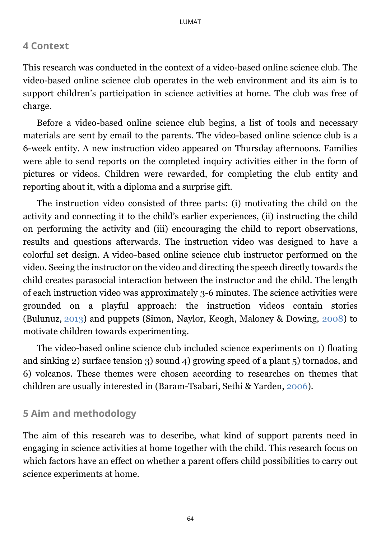#### <span id="page-5-0"></span>**4 Context**

This research was conducted in the context of a video-based online science club. The video-based online science club operates in the web environment and its aim is to support children's participation in science activities at home. The club was free of charge.

Before a video-based online science club begins, a list of tools and necessary materials are sent by email to the parents. The video-based online science club is a 6-week entity. A new instruction video appeared on Thursday afternoons. Families were able to send reports on the completed inquiry activities either in the form of pictures or videos. Children were rewarded, for completing the club entity and reporting about it, with a diploma and a surprise gift.

The instruction video consisted of three parts: (i) motivating the child on the activity and connecting it to the child's earlier experiences, (ii) instructing the child on performing the activity and (iii) encouraging the child to report observations, results and questions afterwards. The instruction video was designed to have a colorful set design. A video-based online science club instructor performed on the video. Seeing the instructor on the video and directing the speech directly towards the child creates parasocial interaction between the instructor and the child. The length of each instruction video was approximately 3-6 minutes. The science activities were grounded on a playful approach: the instruction videos contain stories (Bulunuz, [2013\)](#page-17-0) and puppets (Simon, Naylor, Keogh, Maloney & Dowing, [2008\)](#page-17-0) to motivate children towards experimenting.

The video-based online science club included science experiments on 1) floating and sinking 2) surface tension 3) sound 4) growing speed of a plant 5) tornados, and 6) volcanos. These themes were chosen according to researches on themes that children are usually interested in (Baram-Tsabari, Sethi & Yarden, [2006\)](#page-17-0).

#### <span id="page-5-1"></span>**5 Aim and methodology**

The aim of this research was to describe, what kind of support parents need in engaging in science activities at home together with the child. This research focus on which factors have an effect on whether a parent offers child possibilities to carry out science experiments at home.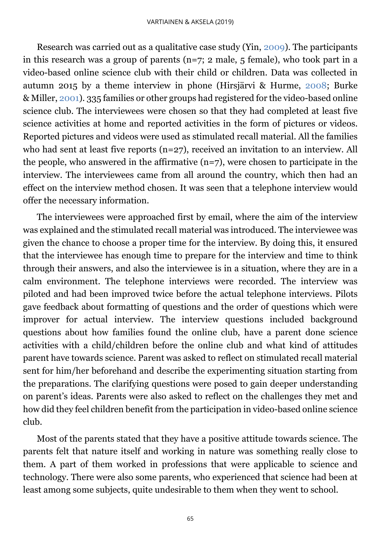Research was carried out as a qualitative case study (Yin, [2009\)](#page-17-0). The participants in this research was a group of parents ( $n=7$ ; 2 male, 5 female), who took part in a video-based online science club with their child or children. Data was collected in autumn 2015 by a theme interview in phone (Hirsjärvi & Hurme, [2008;](#page-17-0) Burke & Miller, [2001\)](#page-17-0). 335 families or other groups had registered for the video-based online science club. The interviewees were chosen so that they had completed at least five science activities at home and reported activities in the form of pictures or videos. Reported pictures and videos were used as stimulated recall material. All the families who had sent at least five reports (n=27), received an invitation to an interview. All the people, who answered in the affirmative  $(n=7)$ , were chosen to participate in the interview. The interviewees came from all around the country, which then had an effect on the interview method chosen. It was seen that a telephone interview would offer the necessary information.

The interviewees were approached first by email, where the aim of the interview was explained and the stimulated recall material was introduced. The interviewee was given the chance to choose a proper time for the interview. By doing this, it ensured that the interviewee has enough time to prepare for the interview and time to think through their answers, and also the interviewee is in a situation, where they are in a calm environment. The telephone interviews were recorded. The interview was piloted and had been improved twice before the actual telephone interviews. Pilots gave feedback about formatting of questions and the order of questions which were improver for actual interview. The interview questions included background questions about how families found the online club, have a parent done science activities with a child/children before the online club and what kind of attitudes parent have towards science. Parent was asked to reflect on stimulated recall material sent for him/her beforehand and describe the experimenting situation starting from the preparations. The clarifying questions were posed to gain deeper understanding on parent's ideas. Parents were also asked to reflect on the challenges they met and how did they feel children benefit from the participation in video-based online science club.

Most of the parents stated that they have a positive attitude towards science. The parents felt that nature itself and working in nature was something really close to them. A part of them worked in professions that were applicable to science and technology. There were also some parents, who experienced that science had been at least among some subjects, quite undesirable to them when they went to school.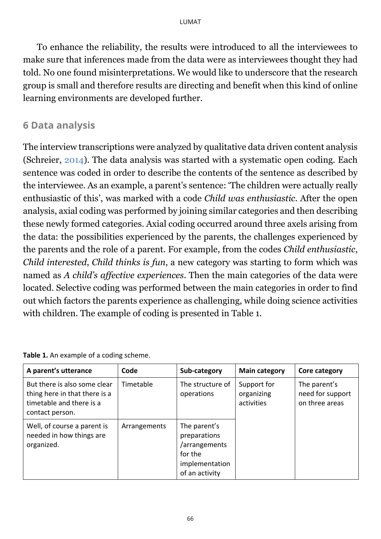To enhance the reliability, the results were introduced to all the interviewees to make sure that inferences made from the data were as interviewees thought they had told. No one found misinterpretations. We would like to underscore that the research group is small and therefore results are directing and benefit when this kind of online learning environments are developed further.

### <span id="page-7-0"></span>**6 Data analysis**

The interview transcriptions were analyzed by qualitative data driven content analysis (Schreier, [2014\)](#page-17-0). The data analysis was started with a systematic open coding. Each sentence was coded in order to describe the contents of the sentence as described by the interviewee. As an example, a parent's sentence: 'The children were actually really enthusiastic of this', was marked with a code *Child was enthusiastic*. After the open analysis, axial coding was performed by joining similar categories and then describing these newly formed categories. Axial coding occurred around three axels arising from the data: the possibilities experienced by the parents, the challenges experienced by the parents and the role of a parent. For example, from the codes *Child enthusiastic*, *Child interested*, *Child thinks is fun*, a new category was starting to form which was named as *A child's affective experiences*. Then the main categories of the data were located. Selective coding was performed between the main categories in order to find out which factors the parents experience as challenging, while doing science activities with children. The example of coding is presented in Table 1.

| A parent's utterance                                                                                         | Code         | Sub-category                                                                                 | <b>Main category</b>                    | Core category                                      |
|--------------------------------------------------------------------------------------------------------------|--------------|----------------------------------------------------------------------------------------------|-----------------------------------------|----------------------------------------------------|
| But there is also some clear<br>thing here in that there is a<br>timetable and there is a<br>contact person. | Timetable    | The structure of<br>operations                                                               | Support for<br>organizing<br>activities | The parent's<br>need for support<br>on three areas |
| Well, of course a parent is<br>needed in how things are<br>organized.                                        | Arrangements | The parent's<br>preparations<br>/arrangements<br>for the<br>implementation<br>of an activity |                                         |                                                    |

**Table 1.** An example of a coding scheme.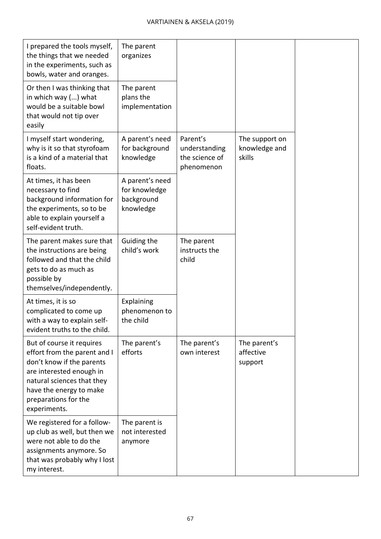| I prepared the tools myself,<br>the things that we needed<br>in the experiments, such as<br>bowls, water and oranges.                                                                                               | The parent<br>organizes                                     |                                                           |                                           |  |
|---------------------------------------------------------------------------------------------------------------------------------------------------------------------------------------------------------------------|-------------------------------------------------------------|-----------------------------------------------------------|-------------------------------------------|--|
| Or then I was thinking that<br>in which way () what<br>would be a suitable bowl<br>that would not tip over<br>easily                                                                                                | The parent<br>plans the<br>implementation                   |                                                           |                                           |  |
| I myself start wondering,<br>why is it so that styrofoam<br>is a kind of a material that<br>floats.                                                                                                                 | A parent's need<br>for background<br>knowledge              | Parent's<br>understanding<br>the science of<br>phenomenon | The support on<br>knowledge and<br>skills |  |
| At times, it has been<br>necessary to find<br>background information for<br>the experiments, so to be<br>able to explain yourself a<br>self-evident truth.                                                          | A parent's need<br>for knowledge<br>background<br>knowledge |                                                           |                                           |  |
| The parent makes sure that<br>the instructions are being<br>followed and that the child<br>gets to do as much as<br>possible by<br>themselves/independently.                                                        | Guiding the<br>child's work                                 | The parent<br>instructs the<br>child                      |                                           |  |
| At times, it is so<br>complicated to come up<br>with a way to explain self-<br>evident truths to the child.                                                                                                         | Explaining<br>phenomenon to<br>the child                    |                                                           |                                           |  |
| But of course it requires<br>effort from the parent and I<br>don't know if the parents<br>are interested enough in<br>natural sciences that they<br>have the energy to make<br>preparations for the<br>experiments. | The parent's<br>efforts                                     | The parent's<br>own interest                              | The parent's<br>affective<br>support      |  |
| We registered for a follow-<br>up club as well, but then we<br>were not able to do the<br>assignments anymore. So<br>that was probably why I lost<br>my interest.                                                   | The parent is<br>not interested<br>anymore                  |                                                           |                                           |  |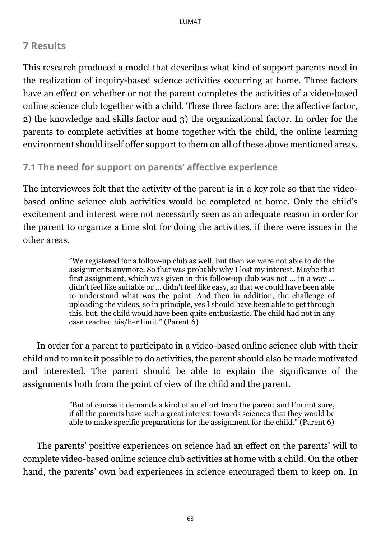# **7 Results**

This research produced a model that describes what kind of support parents need in the realization of inquiry-based science activities occurring at home. Three factors have an effect on whether or not the parent completes the activities of a video-based online science club together with a child. These three factors are: the affective factor, 2) the knowledge and skills factor and 3) the organizational factor. In order for the parents to complete activities at home together with the child, the online learning environment should itself offer support to them on all of these above mentioned areas.

#### **7.1 The need for support on parents' affective experience**

The interviewees felt that the activity of the parent is in a key role so that the videobased online science club activities would be completed at home. Only the child's excitement and interest were not necessarily seen as an adequate reason in order for the parent to organize a time slot for doing the activities, if there were issues in the other areas.

> "We registered for a follow-up club as well, but then we were not able to do the assignments anymore. So that was probably why I lost my interest. Maybe that first assignment, which was given in this follow-up club was not … in a way … didn't feel like suitable or … didn't feel like easy, so that we could have been able to understand what was the point. And then in addition, the challenge of uploading the videos, so in principle, yes I should have been able to get through this, but, the child would have been quite enthusiastic. The child had not in any case reached his/her limit." (Parent 6)

In order for a parent to participate in a video-based online science club with their child and to make it possible to do activities, the parent should also be made motivated and interested. The parent should be able to explain the significance of the assignments both from the point of view of the child and the parent.

> "But of course it demands a kind of an effort from the parent and I'm not sure, if all the parents have such a great interest towards sciences that they would be able to make specific preparations for the assignment for the child." (Parent 6)

The parents' positive experiences on science had an effect on the parents' will to complete video-based online science club activities at home with a child. On the other hand, the parents' own bad experiences in science encouraged them to keep on. In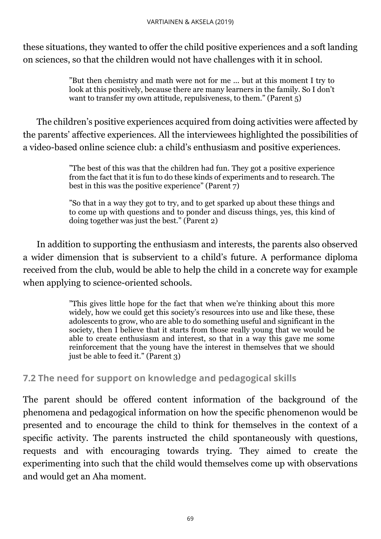these situations, they wanted to offer the child positive experiences and a soft landing on sciences, so that the children would not have challenges with it in school.

> "But then chemistry and math were not for me ... but at this moment I try to look at this positively, because there are many learners in the family. So I don't want to transfer my own attitude, repulsiveness, to them." (Parent 5)

The children's positive experiences acquired from doing activities were affected by the parents' affective experiences. All the interviewees highlighted the possibilities of a video-based online science club: a child's enthusiasm and positive experiences.

> "The best of this was that the children had fun. They got a positive experience from the fact that it is fun to do these kinds of experiments and to research. The best in this was the positive experience" (Parent 7)

> "So that in a way they got to try, and to get sparked up about these things and to come up with questions and to ponder and discuss things, yes, this kind of doing together was just the best." (Parent 2)

In addition to supporting the enthusiasm and interests, the parents also observed a wider dimension that is subservient to a child's future. A performance diploma received from the club, would be able to help the child in a concrete way for example when applying to science-oriented schools.

> "This gives little hope for the fact that when we're thinking about this more widely, how we could get this society's resources into use and like these, these adolescents to grow, who are able to do something useful and significant in the society, then I believe that it starts from those really young that we would be able to create enthusiasm and interest, so that in a way this gave me some reinforcement that the young have the interest in themselves that we should just be able to feed it." (Parent 3)

#### **7.2 The need for support on knowledge and pedagogical skills**

The parent should be offered content information of the background of the phenomena and pedagogical information on how the specific phenomenon would be presented and to encourage the child to think for themselves in the context of a specific activity. The parents instructed the child spontaneously with questions, requests and with encouraging towards trying. They aimed to create the experimenting into such that the child would themselves come up with observations and would get an Aha moment.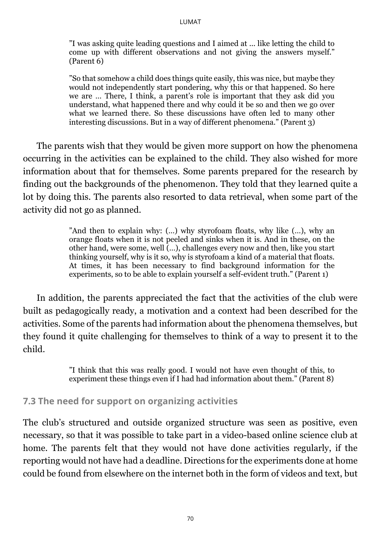"I was asking quite leading questions and I aimed at ... like letting the child to come up with different observations and not giving the answers myself." (Parent 6)

"So that somehow a child does things quite easily, this was nice, but maybe they would not independently start pondering, why this or that happened. So here we are … There, I think, a parent's role is important that they ask did you understand, what happened there and why could it be so and then we go over what we learned there. So these discussions have often led to many other interesting discussions. But in a way of different phenomena." (Parent 3)

The parents wish that they would be given more support on how the phenomena occurring in the activities can be explained to the child. They also wished for more information about that for themselves. Some parents prepared for the research by finding out the backgrounds of the phenomenon. They told that they learned quite a lot by doing this. The parents also resorted to data retrieval, when some part of the activity did not go as planned.

> "And then to explain why: (…) why styrofoam floats, why like (…), why an orange floats when it is not peeled and sinks when it is. And in these, on the other hand, were some, well (…), challenges every now and then, like you start thinking yourself, why is it so, why is styrofoam a kind of a material that floats. At times, it has been necessary to find background information for the experiments, so to be able to explain yourself a self-evident truth." (Parent 1)

In addition, the parents appreciated the fact that the activities of the club were built as pedagogically ready, a motivation and a context had been described for the activities. Some of the parents had information about the phenomena themselves, but they found it quite challenging for themselves to think of a way to present it to the child.

> "I think that this was really good. I would not have even thought of this, to experiment these things even if I had had information about them." (Parent 8)

#### **7.3 The need for support on organizing activities**

The club's structured and outside organized structure was seen as positive, even necessary, so that it was possible to take part in a video-based online science club at home. The parents felt that they would not have done activities regularly, if the reporting would not have had a deadline. Directions for the experiments done at home could be found from elsewhere on the internet both in the form of videos and text, but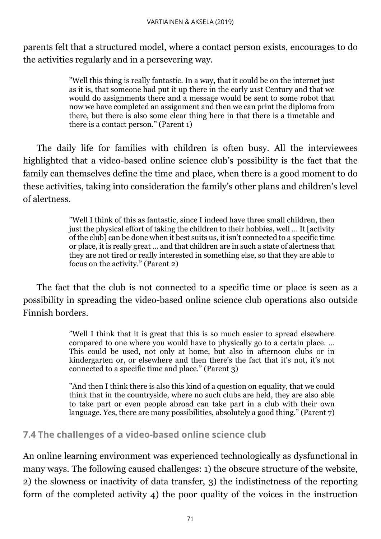parents felt that a structured model, where a contact person exists, encourages to do the activities regularly and in a persevering way.

> "Well this thing is really fantastic. In a way, that it could be on the internet just as it is, that someone had put it up there in the early 21st Century and that we would do assignments there and a message would be sent to some robot that now we have completed an assignment and then we can print the diploma from there, but there is also some clear thing here in that there is a timetable and there is a contact person." (Parent 1)

The daily life for families with children is often busy. All the interviewees highlighted that a video-based online science club's possibility is the fact that the family can themselves define the time and place, when there is a good moment to do these activities, taking into consideration the family's other plans and children's level of alertness.

> "Well I think of this as fantastic, since I indeed have three small children, then just the physical effort of taking the children to their hobbies, well … It [activity of the club] can be done when it best suits us, it isn't connected to a specific time or place, it is really great … and that children are in such a state of alertness that they are not tired or really interested in something else, so that they are able to focus on the activity." (Parent 2)

The fact that the club is not connected to a specific time or place is seen as a possibility in spreading the video-based online science club operations also outside Finnish borders.

> "Well I think that it is great that this is so much easier to spread elsewhere compared to one where you would have to physically go to a certain place. … This could be used, not only at home, but also in afternoon clubs or in kindergarten or, or elsewhere and then there's the fact that it's not, it's not connected to a specific time and place." (Parent 3)

> "And then I think there is also this kind of a question on equality, that we could think that in the countryside, where no such clubs are held, they are also able to take part or even people abroad can take part in a club with their own language. Yes, there are many possibilities, absolutely a good thing." (Parent 7)

#### **7.4 The challenges of a video-based online science club**

An online learning environment was experienced technologically as dysfunctional in many ways. The following caused challenges: 1) the obscure structure of the website, 2) the slowness or inactivity of data transfer, 3) the indistinctness of the reporting form of the completed activity 4) the poor quality of the voices in the instruction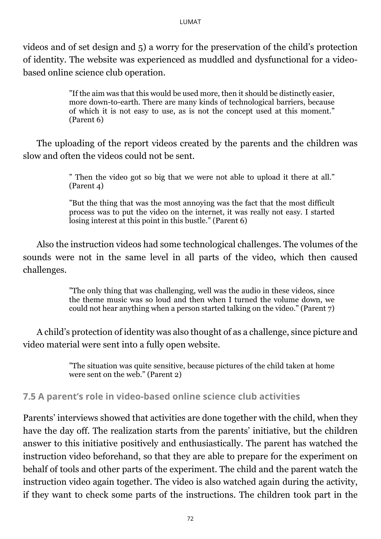videos and of set design and 5) a worry for the preservation of the child's protection of identity. The website was experienced as muddled and dysfunctional for a videobased online science club operation.

> "If the aim was that this would be used more, then it should be distinctly easier, more down-to-earth. There are many kinds of technological barriers, because of which it is not easy to use, as is not the concept used at this moment." (Parent 6)

The uploading of the report videos created by the parents and the children was slow and often the videos could not be sent.

> " Then the video got so big that we were not able to upload it there at all." (Parent 4)

> "But the thing that was the most annoying was the fact that the most difficult process was to put the video on the internet, it was really not easy. I started losing interest at this point in this bustle." (Parent 6)

Also the instruction videos had some technological challenges. The volumes of the sounds were not in the same level in all parts of the video, which then caused challenges.

> "The only thing that was challenging, well was the audio in these videos, since the theme music was so loud and then when I turned the volume down, we could not hear anything when a person started talking on the video." (Parent 7)

A child's protection of identity was also thought of as a challenge, since picture and video material were sent into a fully open website.

> "The situation was quite sensitive, because pictures of the child taken at home were sent on the web." (Parent 2)

#### **7.5 A parent's role in video-based online science club activities**

Parents' interviews showed that activities are done together with the child, when they have the day off. The realization starts from the parents' initiative, but the children answer to this initiative positively and enthusiastically. The parent has watched the instruction video beforehand, so that they are able to prepare for the experiment on behalf of tools and other parts of the experiment. The child and the parent watch the instruction video again together. The video is also watched again during the activity, if they want to check some parts of the instructions. The children took part in the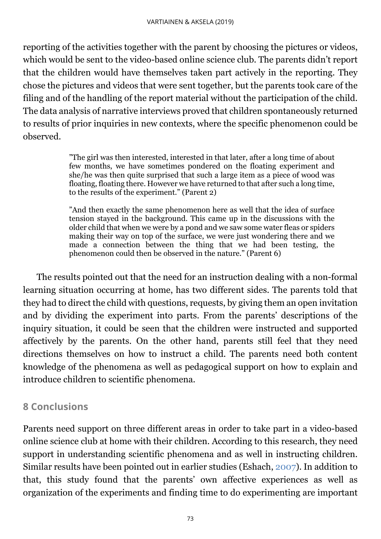reporting of the activities together with the parent by choosing the pictures or videos, which would be sent to the video-based online science club. The parents didn't report that the children would have themselves taken part actively in the reporting. They chose the pictures and videos that were sent together, but the parents took care of the filing and of the handling of the report material without the participation of the child. The data analysis of narrative interviews proved that children spontaneously returned to results of prior inquiries in new contexts, where the specific phenomenon could be observed.

> "The girl was then interested, interested in that later, after a long time of about few months, we have sometimes pondered on the floating experiment and she/he was then quite surprised that such a large item as a piece of wood was floating, floating there. However we have returned to that after such a long time, to the results of the experiment." (Parent 2)

> "And then exactly the same phenomenon here as well that the idea of surface tension stayed in the background. This came up in the discussions with the older child that when we were by a pond and we saw some water fleas or spiders making their way on top of the surface, we were just wondering there and we made a connection between the thing that we had been testing, the phenomenon could then be observed in the nature." (Parent 6)

The results pointed out that the need for an instruction dealing with a non-formal learning situation occurring at home, has two different sides. The parents told that they had to direct the child with questions, requests, by giving them an open invitation and by dividing the experiment into parts. From the parents' descriptions of the inquiry situation, it could be seen that the children were instructed and supported affectively by the parents. On the other hand, parents still feel that they need directions themselves on how to instruct a child. The parents need both content knowledge of the phenomena as well as pedagogical support on how to explain and introduce children to scientific phenomena.

# <span id="page-14-0"></span>**8 Conclusions**

Parents need support on three different areas in order to take part in a video-based online science club at home with their children. According to this research, they need support in understanding scientific phenomena and as well in instructing children. Similar results have been pointed out in earlier studies (Eshach, [2007\)](#page-17-0). In addition to that, this study found that the parents' own affective experiences as well as organization of the experiments and finding time to do experimenting are important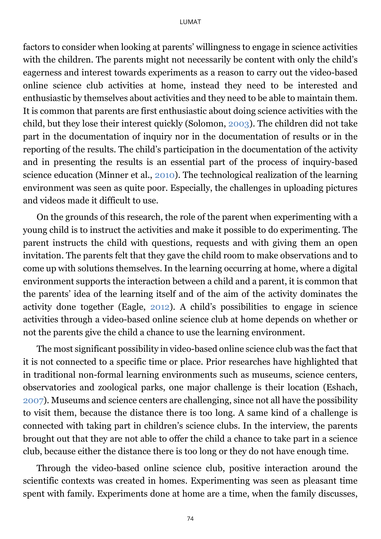factors to consider when looking at parents' willingness to engage in science activities with the children. The parents might not necessarily be content with only the child's eagerness and interest towards experiments as a reason to carry out the video-based online science club activities at home, instead they need to be interested and enthusiastic by themselves about activities and they need to be able to maintain them. It is common that parents are first enthusiastic about doing science activities with the child, but they lose their interest quickly (Solomon, [2003\)](#page-17-0). The children did not take part in the documentation of inquiry nor in the documentation of results or in the reporting of the results. The child's participation in the documentation of the activity and in presenting the results is an essential part of the process of inquiry-based science education (Minner et al., [2010\)](#page-17-0). The technological realization of the learning environment was seen as quite poor. Especially, the challenges in uploading pictures and videos made it difficult to use.

On the grounds of this research, the role of the parent when experimenting with a young child is to instruct the activities and make it possible to do experimenting. The parent instructs the child with questions, requests and with giving them an open invitation. The parents felt that they gave the child room to make observations and to come up with solutions themselves. In the learning occurring at home, where a digital environment supports the interaction between a child and a parent, it is common that the parents' idea of the learning itself and of the aim of the activity dominates the activity done together (Eagle, [2012\)](#page-17-0). A child's possibilities to engage in science activities through a video-based online science club at home depends on whether or not the parents give the child a chance to use the learning environment.

The most significant possibility in video-based online science club was the fact that it is not connected to a specific time or place. Prior researches have highlighted that in traditional non-formal learning environments such as museums, science centers, observatories and zoological parks, one major challenge is their location (Eshach, [2007\)](#page-17-0). Museums and science centers are challenging, since not all have the possibility to visit them, because the distance there is too long. A same kind of a challenge is connected with taking part in children's science clubs. In the interview, the parents brought out that they are not able to offer the child a chance to take part in a science club, because either the distance there is too long or they do not have enough time.

Through the video-based online science club, positive interaction around the scientific contexts was created in homes. Experimenting was seen as pleasant time spent with family. Experiments done at home are a time, when the family discusses,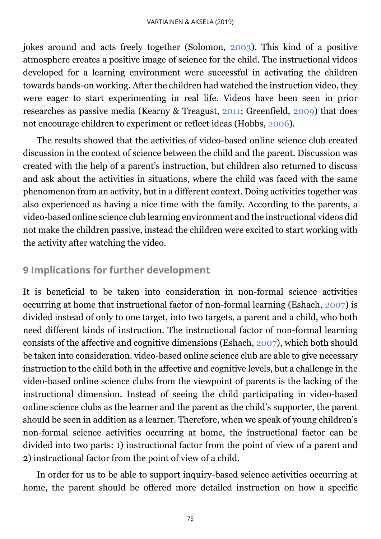jokes around and acts freely together (Solomon, [2003\)](#page-17-0). This kind of a positive atmosphere creates a positive image of science for the child. The instructional videos developed for a learning environment were successful in activating the children towards hands-on working. After the children had watched the instruction video, they were eager to start experimenting in real life. Videos have been seen in prior researches as passive media (Kearny & Treagust, [2011;](#page-17-0) Greenfield, [2009\)](#page-17-0) that does not encourage children to experiment or reflect ideas (Hobbs, [2006\)](#page-17-0).

The results showed that the activities of video-based online science club created discussion in the context of science between the child and the parent. Discussion was created with the help of a parent's instruction, but children also returned to discuss and ask about the activities in situations, where the child was faced with the same phenomenon from an activity, but in a different context. Doing activities together was also experienced as having a nice time with the family. According to the parents, a video-based online science club learning environment and the instructional videos did not make the children passive, instead the children were excited to start working with the activity after watching the video.

# **9 Implications for further development**

It is beneficial to be taken into consideration in non-formal science activities occurring at home that instructional factor of non-formal learning (Eshach, [2007\)](#page-17-0) is divided instead of only to one target, into two targets, a parent and a child, who both need different kinds of instruction. The instructional factor of non-formal learning consists of the affective and cognitive dimensions (Eshach, [2007\)](#page-17-0), which both should be taken into consideration. video-based online science club are able to give necessary instruction to the child both in the affective and cognitive levels, but a challenge in the video-based online science clubs from the viewpoint of parents is the lacking of the instructional dimension. Instead of seeing the child participating in video-based online science clubs as the learner and the parent as the child's supporter, the parent should be seen in addition as a learner. Therefore, when we speak of young children's non-formal science activities occurring at home, the instructional factor can be divided into two parts: 1) instructional factor from the point of view of a parent and 2) instructional factor from the point of view of a child.

In order for us to be able to support inquiry-based science activities occurring at home, the parent should be offered more detailed instruction on how a specific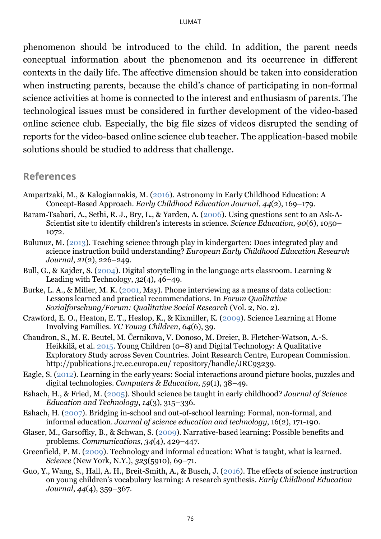phenomenon should be introduced to the child. In addition, the parent needs conceptual information about the phenomenon and its occurrence in different contexts in the daily life. The affective dimension should be taken into consideration when instructing parents, because the child's chance of participating in non-formal science activities at home is connected to the interest and enthusiasm of parents. The technological issues must be considered in further development of the video-based online science club. Especially, the big file sizes of videos disrupted the sending of reports for the video-based online science club teacher. The application-based mobile solutions should be studied to address that challenge.

#### <span id="page-17-0"></span>**References**

- Ampartzaki, M., & Kalogiannakis, M. [\(2016\)](#page-0-0). Astronomy in Early Childhood Education: A Concept-Based Approach. *Early Childhood Education Journal*, *44*(2), 169–179.
- Baram‐Tsabari, A., Sethi, R. J., Bry, L., & Yarden, A. [\(2006\)](#page-5-0). Using questions sent to an Ask‐A‐ Scientist site to identify children's interests in science. *Science Education*, *90*(6), 1050– 1072.
- Bulunuz, M. [\(2013\)](#page-5-0). Teaching science through play in kindergarten: Does integrated play and science instruction build understanding? *European Early Childhood Education Research Journal*, *21*(2), 226–249.
- Bull, G., & Kajder, S. [\(2004\)](#page-3-0). Digital storytelling in the language arts classroom. Learning & Leading with Technology, *32*(4), 46–49.
- Burke, L. A., & Miller, M. K. [\(2001,](#page-5-1) May). Phone interviewing as a means of data collection: Lessons learned and practical recommendations. In *Forum Qualitative Sozialforschung/Forum: Qualitative Social Research* (Vol. 2, No. 2).
- Crawford, E. O., Heaton, E. T., Heslop, K., & Kixmiller, K. [\(2009\)](#page-0-0). Science Learning at Home Involving Families. *YC Young Children*, *64*(6), 39.
- Chaudron, S., M. E. Beutel, M. Černikova, V. Donoso, M. Dreier, B. Fletcher-Watson, A.-S. Heikkilä, et al. [2015.](#page-3-0) Young Children (0–8) and Digital Technology: A Qualitative Exploratory Study across Seven Countries. Joint Research Centre, European Commission. http://publications.jrc.ec.europa.eu/ repository/handle/JRC93239.
- Eagle, S. [\(2012\)](#page-14-0). Learning in the early years: Social interactions around picture books, puzzles and digital technologies. *Computers & Education*, *59*(1), 38–49.
- Eshach, H., & Fried, M. [\(2005\)](#page-0-0). Should science be taught in early childhood? *Journal of Science Education and Technology*, *14*(3), 315–336.
- Eshach, H. [\(2007\)](#page-2-0). Bridging in-school and out-of-school learning: Formal, non-formal, and informal education. *Journal of science education and technology*, 16(2), 171-190.
- Glaser, M., Garsoffky, B., & Schwan, S. [\(2009\)](#page-3-0). Narrative-based learning: Possible benefits and problems. *Communications*, *34*(4), 429–447.
- Greenfield, P. M. [\(2009\)](#page-14-0). Technology and informal education: What is taught, what is learned. *Science* (New York, N.Y.), *323*(5910), 69–71.
- Guo, Y., Wang, S., Hall, A. H., Breit-Smith, A., & Busch, J. [\(2016\)](#page-0-0). The effects of science instruction on young children's vocabulary learning: A research synthesis. *Early Childhood Education Journal*, *44*(4), 359–367.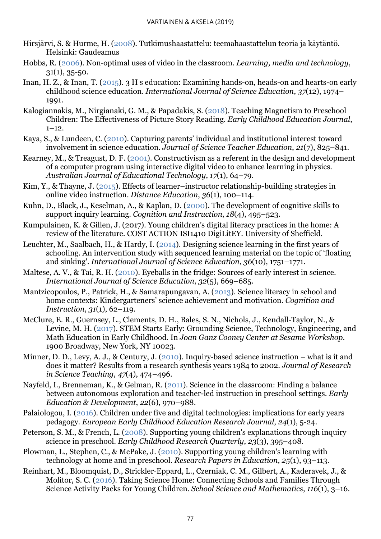- Hirsjärvi, S. & Hurme, H. [\(2008\)](#page-5-1). Tutkimushaastattelu: teemahaastattelun teoria ja käytäntö. Helsinki: Gaudeamus
- Hobbs, R. [\(2006\)](#page-14-0). Non‐optimal uses of video in the classroom. *Learning, media and technology*,  $31(1), 35-50.$
- Inan, H. Z., & Inan, T. [\(2015\)](#page-3-0). 3 H s education: Examining hands-on, heads-on and hearts-on early childhood science education. *International Journal of Science Education*, *37*(12), 1974– 1991.
- Kalogiannakis, M., Nirgianaki, G. M., & Papadakis, S. [\(2018\)](#page-0-0). Teaching Magnetism to Preschool Children: The Effectiveness of Picture Story Reading. *Early Childhood Education Journal*,  $1 - 12$ .
- Kaya, S., & Lundeen, C. [\(2010\)](#page-0-0). Capturing parents' individual and institutional interest toward involvement in science education. *Journal of Science Teacher Education*, *21*(7), 825–841.
- Kearney, M., & Treagust, D. F. [\(2001\)](#page-14-0). Constructivism as a referent in the design and development of a computer program using interactive digital video to enhance learning in physics. *Australian Journal of Educational Technology*, *17*(1), 64–79.
- Kim, Y., & Thayne, J. [\(2015\)](#page-3-0). Effects of learner–instructor relationship-building strategies in online video instruction. *Distance Education*, *36*(1), 100–114.
- Kuhn, D., Black, J., Keselman, A., & Kaplan, D. [\(2000\)](#page-0-0). The development of cognitive skills to support inquiry learning. *Cognition and Instruction*, *18*(4), 495–523.
- Kumpulainen, K. & Gillen, J. (2017). Young children's digital literacy practices in the home: A review of the literature. COST ACTION ISI1410 DigiLitEY. University of Sheffield.
- Leuchter, M., Saalbach, H., & Hardy, I. [\(2014\)](#page-0-0). Designing science learning in the first years of schooling. An intervention study with sequenced learning material on the topic of 'floating and sinking'. *International Journal of Science Education*, *36*(10), 1751–1771.
- Maltese, A. V., & Tai, R. H. [\(2010\)](#page-0-0). Eyeballs in the fridge: Sources of early interest in science. *International Journal of Science Education*, *32*(5), 669–685.
- Mantzicopoulos, P., Patrick, H., & Samarapungavan, A. [\(2013\)](#page-0-0). Science literacy in school and home contexts: Kindergarteners' science achievement and motivation. *Cognition and Instruction*, *31*(1), 62–119.
- McClure, E. R., Guernsey, L., Clements, D. H., Bales, S. N., Nichols, J., Kendall-Taylor, N., & Levine, M. H. [\(2017\)](#page-0-0). STEM Starts Early: Grounding Science, Technology, Engineering, and Math Education in Early Childhood. In *Joan Ganz Cooney Center at Sesame Workshop*. 1900 Broadway, New York, NY 10023.
- Minner, D. D., Levy, A. J., & Century, J. [\(2010\)](#page-0-0). Inquiry-based science instruction what is it and does it matter? Results from a research synthesis years 1984 to 2002. *Journal of Research in Science Teaching*, *47*(4), 474–496.
- Nayfeld, I., Brenneman, K., & Gelman, R. [\(2011\)](#page-0-0). Science in the classroom: Finding a balance between autonomous exploration and teacher-led instruction in preschool settings. *Early Education & Development*, *22*(6), 970–988.
- Palaiologou, I. [\(2016\)](#page-0-0). Children under five and digital technologies: implications for early years pedagogy. *European Early Childhood Education Research Journal*, *24*(1), 5-24.
- Peterson, S. M., & French, L. [\(2008\)](#page-0-0). Supporting young children's explanations through inquiry science in preschool. *Early Childhood Research Quarterly*, *23*(3), 395–408.
- Plowman, L., Stephen, C., & McPake, J. [\(2010\)](#page-0-0). Supporting young children's learning with technology at home and in preschool. *Research Papers in Education*, *25*(1), 93–113.
- Reinhart, M., Bloomquist, D., Strickler‐Eppard, L., Czerniak, C. M., Gilbert, A., Kaderavek, J., & Molitor, S. C. [\(2016\)](#page-2-0). Taking Science Home: Connecting Schools and Families Through Science Activity Packs for Young Children. *School Science and Mathematics*, *116*(1), 3–16.